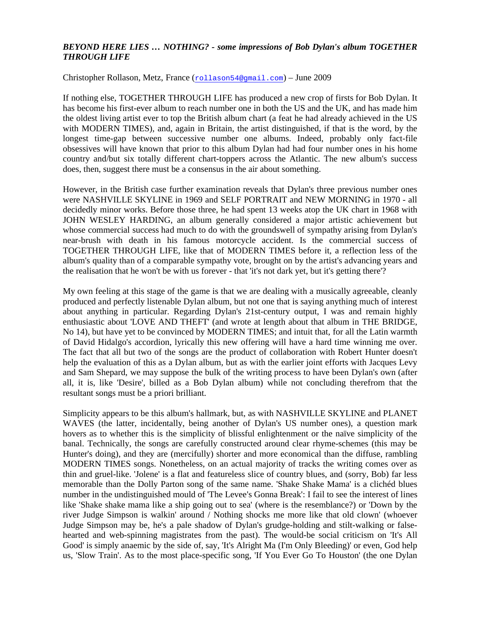## *BEYOND HERE LIES … NOTHING? - some impressions of Bob Dylan's album TOGETHER THROUGH LIFE*

Christopher Rollason, Metz, France (rollason54@gmail.com) – June 2009

If nothing else, TOGETHER THROUGH LIFE has produced a new crop of firsts for Bob Dylan. It has become his first-ever album to reach number one in both the US and the UK, and has made him the oldest living artist ever to top the British album chart (a feat he had already achieved in the US with MODERN TIMES), and, again in Britain, the artist distinguished, if that is the word, by the longest time-gap between successive number one albums. Indeed, probably only fact-file obsessives will have known that prior to this album Dylan had had four number ones in his home country and/but six totally different chart-toppers across the Atlantic. The new album's success does, then, suggest there must be a consensus in the air about something.

However, in the British case further examination reveals that Dylan's three previous number ones were NASHVILLE SKYLINE in 1969 and SELF PORTRAIT and NEW MORNING in 1970 - all decidedly minor works. Before those three, he had spent 13 weeks atop the UK chart in 1968 with JOHN WESLEY HARDING, an album generally considered a major artistic achievement but whose commercial success had much to do with the groundswell of sympathy arising from Dylan's near-brush with death in his famous motorcycle accident. Is the commercial success of TOGETHER THROUGH LIFE, like that of MODERN TIMES before it, a reflection less of the album's quality than of a comparable sympathy vote, brought on by the artist's advancing years and the realisation that he won't be with us forever - that 'it's not dark yet, but it's getting there'?

My own feeling at this stage of the game is that we are dealing with a musically agreeable, cleanly produced and perfectly listenable Dylan album, but not one that is saying anything much of interest about anything in particular. Regarding Dylan's 21st-century output, I was and remain highly enthusiastic about 'LOVE AND THEFT' (and wrote at length about that album in THE BRIDGE, No 14), but have yet to be convinced by MODERN TIMES; and intuit that, for all the Latin warmth of David Hidalgo's accordion, lyrically this new offering will have a hard time winning me over. The fact that all but two of the songs are the product of collaboration with Robert Hunter doesn't help the evaluation of this as a Dylan album, but as with the earlier joint efforts with Jacques Levy and Sam Shepard, we may suppose the bulk of the writing process to have been Dylan's own (after all, it is, like 'Desire', billed as a Bob Dylan album) while not concluding therefrom that the resultant songs must be a priori brilliant.

Simplicity appears to be this album's hallmark, but, as with NASHVILLE SKYLINE and PLANET WAVES (the latter, incidentally, being another of Dylan's US number ones), a question mark hovers as to whether this is the simplicity of blissful enlightenment or the naïve simplicity of the banal. Technically, the songs are carefully constructed around clear rhyme-schemes (this may be Hunter's doing), and they are (mercifully) shorter and more economical than the diffuse, rambling MODERN TIMES songs. Nonetheless, on an actual majority of tracks the writing comes over as thin and gruel-like. 'Jolene' is a flat and featureless slice of country blues, and (sorry, Bob) far less memorable than the Dolly Parton song of the same name. 'Shake Shake Mama' is a clichéd blues number in the undistinguished mould of 'The Levee's Gonna Break': I fail to see the interest of lines like 'Shake shake mama like a ship going out to sea' (where is the resemblance?) or 'Down by the river Judge Simpson is walkin' around / Nothing shocks me more like that old clown' (whoever Judge Simpson may be, he's a pale shadow of Dylan's grudge-holding and stilt-walking or falsehearted and web-spinning magistrates from the past). The would-be social criticism on 'It's All Good' is simply anaemic by the side of, say, 'It's Alright Ma (I'm Only Bleeding)' or even, God help us, 'Slow Train'. As to the most place-specific song, 'If You Ever Go To Houston' (the one Dylan